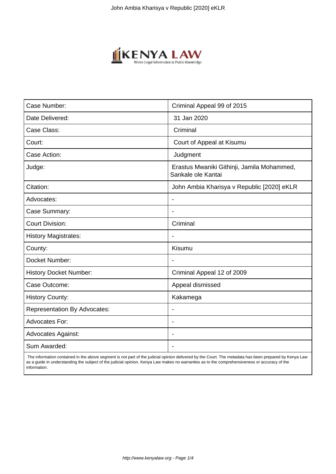

| Case Number:                        | Criminal Appeal 99 of 2015                                       |
|-------------------------------------|------------------------------------------------------------------|
| Date Delivered:                     | 31 Jan 2020                                                      |
| Case Class:                         | Criminal                                                         |
| Court:                              | Court of Appeal at Kisumu                                        |
| Case Action:                        | Judgment                                                         |
| Judge:                              | Erastus Mwaniki Githinji, Jamila Mohammed,<br>Sankale ole Kantai |
| Citation:                           | John Ambia Kharisya v Republic [2020] eKLR                       |
| Advocates:                          |                                                                  |
| Case Summary:                       |                                                                  |
| <b>Court Division:</b>              | Criminal                                                         |
| <b>History Magistrates:</b>         | $\blacksquare$                                                   |
| County:                             | Kisumu                                                           |
| Docket Number:                      |                                                                  |
| <b>History Docket Number:</b>       | Criminal Appeal 12 of 2009                                       |
| Case Outcome:                       | Appeal dismissed                                                 |
| <b>History County:</b>              | Kakamega                                                         |
| <b>Representation By Advocates:</b> | $\overline{\phantom{a}}$                                         |
| <b>Advocates For:</b>               |                                                                  |
| <b>Advocates Against:</b>           |                                                                  |
| Sum Awarded:                        |                                                                  |

 The information contained in the above segment is not part of the judicial opinion delivered by the Court. The metadata has been prepared by Kenya Law as a guide in understanding the subject of the judicial opinion. Kenya Law makes no warranties as to the comprehensiveness or accuracy of the information.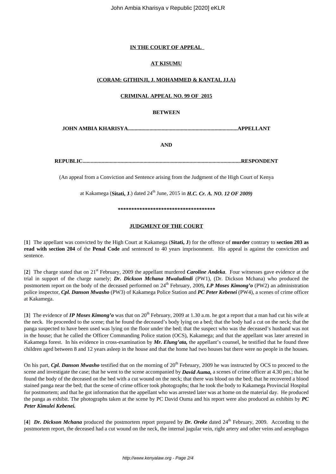# **IN THE COURT OF APPEAL**

# **AT KISUMU**

# **(CORAM: GITHINJI, J. MOHAMMED & KANTAI, JJ.A)**

# **CRIMINAL APPEAL NO. 99 OF 2015**

# **BETWEEN**

**JOHN AMBIA KHARISYA.................................................................................APPELLANT**

**AND**

**REPUBLIC.....................................................................................................................RESPONDENT**

(An appeal from a Conviction and Sentence arising from the Judgment of the High Court of Kenya

at Kakamega (Sitati, J.) dated 24<sup>th</sup> June, 2015 in *H.C. Cr. A. NO. 12 OF 2009*)

*\*\*\*\*\*\*\*\*\*\*\*\*\*\*\*\*\*\*\*\*\*\*\*\*\*\*\*\*\*\*\*\*\*\*\*\**

#### **JUDGMENT OF THE COURT**

[**1**] The appellant was convicted by the High Court at Kakamega (**Sitati, J**) for the offence of **murder** contrary to **section 203 as read with section 204** of the **Penal Code** and sentenced to 40 years imprisonment. His appeal is against the conviction and sentence.

[**2**] The charge stated that on 21st February, 2009 the appellant murdered *Caroline Andeka*. Four witnesses gave evidence at the trial in support of the charge namely; *Dr. Dickson Mchana Mwaludindi* (PW1), (Dr. Dickson Mchana) who produced the postmortem report on the body of the deceased performed on 24<sup>th</sup> February, 2009, I.P Moses Kimong'o (PW2) an administration police inspector, *Cpl. Danson Mwasho* (PW3) of Kakamega Police Station and *PC Peter Kebenei* (PW4), a scenes of crime officer at Kakamega.

[3] The evidence of *IP Moses Kimong'o* was that on 20<sup>th</sup> February, 2009 at 1.30 a.m. he got a report that a man had cut his wife at the neck. He proceeded to the scene; that he found the deceased's body lying on a bed; that the body had a cut on the neck; that the panga suspected to have been used was lying on the floor under the bed; that the suspect who was the deceased's husband was not in the house; that he called the Officer Commanding Police station (OCS), Kakamega; and that the appellant was later arrested in Kakamega forest. In his evidence in cross-examination by *Mr. Elung'ata,* the appellant's counsel, he testified that he found three children aged between 8 and 12 years asleep in the house and that the home had two houses but there were no people in the houses.

On his part, *Cpl. Danson Mwasho* testified that on the morning of 20<sup>th</sup> February, 2009 he was instructed by OCS to proceed to the scene and investigate the case; that he went to the scene accompanied by *David Auma,* a scenes of crime officer at 4.30 pm.; that he found the body of the deceased on the bed with a cut wound on the neck; that there was blood on the bed; that he recovered a blood stained panga near the bed; that the scene of crime officer took photographs; that he took the body to Kakamega Provincial Hospital for postmortem; and that he got information that the appellant who was arrested later was at home on the material day. He produced the panga as exhibit. The photographs taken at the scene by PC David Ouma and his report were also produced as exhibits by *PC Peter Kimulei Kebenei.*

[4] *Dr. Dickson Mchana* produced the postmortem report prepared by *Dr. Oreke* dated 24<sup>th</sup> February, 2009. According to the postmortem report, the deceased had a cut wound on the neck, the internal jugular vein, right artery and other veins and aesophagus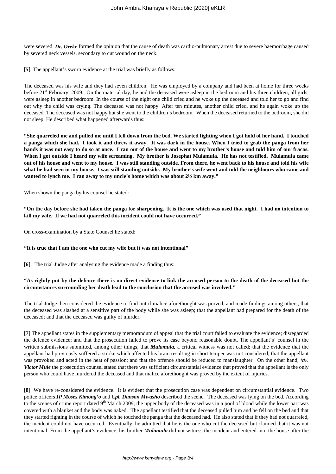were severed. *Dr. Oreke* formed the opinion that the cause of death was cardio-pulmonary arrest due to severe haemorrhage caused by severed neck vessels, secondary to cut wound on the neck.

[**5**] The appellant's sworn evidence at the trial was briefly as follows:

The deceased was his wife and they had seven children. He was employed by a company and had been at home for three weeks before  $21<sup>st</sup>$  February, 2009. On the material day, he and the deceased were asleep in the bedroom and his three children, all girls, were asleep in another bedroom. In the course of the night one child cried and he woke up the deceased and told her to go and find out why the child was crying. The deceased was not happy. After ten minutes, another child cried, and he again woke up the deceased. The deceased was not happy but she went to the children's bedroom. When the deceased returned to the bedroom, she did not sleep. He described what happened afterwards thus:

**"She quarreled me and pulled me until I fell down from the bed. We started fighting when I got hold of her hand. I touched a panga which she had. I took it and threw it away. It was dark in the house. When I tried to grab the panga from her hands it was not easy to do so at once. I ran out of the house and went to my brother's house and told him of our fracas. When I got outside I heard my wife screaming. My brother is Josephat Mulamula. He has not testified. Mulamula came out of his house and went to my house. I was still standing outside. From there, he went back to his house and told his wife what he had seen in my house. I was still standing outside. My brother's wife went and told the neighbours who came and wanted to lynch me. I ran away to my uncle's home which was about 2½ km away."**

When shown the panga by his counsel he stated:

**"On the day before she had taken the panga for sharpening. It is the one which was used that night. I had no intention to kill my wife. If we had not quarreled this incident could not have occurred."**

On cross-examination by a State Counsel he stated:

#### **"It is true that I am the one who cut my wife but it was not intentional"**

[**6**] The trial Judge after analysing the evidence made a finding thus:

## **"As rightly put by the defence there is no direct evidence to link the accused person to the death of the deceased but the circumstances surrounding her death lead to the conclusion that the accused was involved."**

The trial Judge then considered the evidence to find out if malice aforethought was proved, and made findings among others, that the deceased was slashed at a sensitive part of the body while she was asleep; that the appellant had prepared for the death of the deceased; and that the deceased was guilty of murder.

[**7**] The appellant states in the supplementary memorandum of appeal that the trial court failed to evaluate the evidence; disregarded the defence evidence; and that the prosecution failed to prove its case beyond reasonable doubt. The appellant's' counsel in the written submissions submitted, among other things, that *Mulamula,* a critical witness was not called; that the evidence that the appellant had previously suffered a stroke which affected his brain resulting in short temper was not considered; that the appellant was provoked and acted in the heat of passion; and that the offence should be reduced to manslaughter. On the other hand, *Mr. Victor Mule* the prosecution counsel stated that there was sufficient circumstantial evidence that proved that the appellant is the only person who could have murdered the deceased and that malice aforethought was proved by the extent of injuries.

[**8**] We have re-considered the evidence. It is evident that the prosecution case was dependent on circumstantial evidence. Two police officers *IP Moses Kimong'o* and *Cpl. Danson Mwasho* described the scene. The deceased was lying on the bed. According to the scenes of crime report dated  $9<sup>th</sup>$  March 2009, the upper body of the deceased was in a pool of blood while the lower part was covered with a blanket and the body was naked. The appellant testified that the deceased pulled him and he fell on the bed and that they started fighting in the course of which he touched the panga that the deceased had. He also stated that if they had not quarreled, the incident could not have occurred. Eventually, he admitted that he is the one who cut the deceased but claimed that it was not intentional. From the appellant's evidence, his brother *Mulamula* did not witness the incident and entered into the house after the